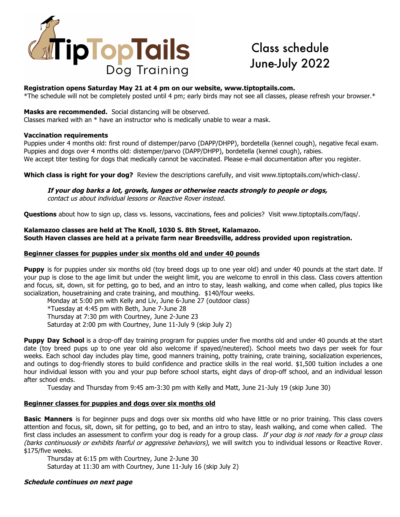

# Class schedule June-July 2022

## **Registration opens Saturday May 21 at 4 pm on our website, www.tiptoptails.com.**

\*The schedule will not be completely posted until 4 pm; early birds may not see all classes, please refresh your browser.\*

### **Masks are recommended.** Social distancing will be observed.

Classes marked with an  $*$  have an instructor who is medically unable to wear a mask.

## **Vaccination requirements**

Puppies under 4 months old: first round of distemper/parvo (DAPP/DHPP), bordetella (kennel cough), negative fecal exam. Puppies and dogs over 4 months old: distemper/parvo (DAPP/DHPP), bordetella (kennel cough), rabies. We accept titer testing for dogs that medically cannot be vaccinated. Please e-mail documentation after you register.

**Which class is right for your dog?** Review the descriptions carefully, and visit www.tiptoptails.com/which-class/.

**If your dog barks a lot, growls, lunges or otherwise reacts strongly to people or dogs,** contact us about individual lessons or Reactive Rover instead.

**Questions** about how to sign up, class vs. lessons, vaccinations, fees and policies? Visit www.tiptoptails.com/faqs/.

### **Kalamazoo classes are held at The Knoll, 1030 S. 8th Street, Kalamazoo. South Haven classes are held at a private farm near Breedsville, address provided upon registration.**

## **Beginner classes for puppies under six months old and under 40 pounds**

**Puppy** is for puppies under six months old (toy breed dogs up to one year old) and under 40 pounds at the start date. If your pup is close to the age limit but under the weight limit, you are welcome to enroll in this class. Class covers attention and focus, sit, down, sit for petting, go to bed, and an intro to stay, leash walking, and come when called, plus topics like socialization, housetraining and crate training, and mouthing. \$140/four weeks.

Monday at 5:00 pm with Kelly and Liv, June 6-June 27 (outdoor class)

\*Tuesday at 4:45 pm with Beth, June 7-June 28

Thursday at 7:30 pm with Courtney, June 2-June 23

Saturday at 2:00 pm with Courtney, June 11-July 9 (skip July 2)

**Puppy Day School** is a drop-off day training program for puppies under five months old and under 40 pounds at the start date (toy breed pups up to one year old also welcome if spayed/neutered). School meets two days per week for four weeks. Each school day includes play time, good manners training, potty training, crate training, socialization experiences, and outings to dog-friendly stores to build confidence and practice skills in the real world. \$1,500 tuition includes a one hour individual lesson with you and your pup before school starts, eight days of drop-off school, and an individual lesson after school ends.

Tuesday and Thursday from 9:45 am-3:30 pm with Kelly and Matt, June 21-July 19 (skip June 30)

# **Beginner classes for puppies and dogs over six months old**

**Basic Manners** is for beginner pups and dogs over six months old who have little or no prior training. This class covers attention and focus, sit, down, sit for petting, go to bed, and an intro to stay, leash walking, and come when called. The first class includes an assessment to confirm your dog is ready for a group class. If your dog is not ready for a group class (barks continuously or exhibits fearful or aggressive behaviors), we will switch you to individual lessons or Reactive Rover. \$175/five weeks.

Thursday at 6:15 pm with Courtney, June 2-June 30 Saturday at 11:30 am with Courtney, June 11-July 16 (skip July 2)

# **Schedule continues on next page**